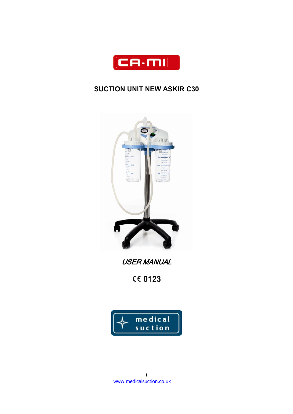

# **SUCTION UNIT NEW ASKIR C30**



USER MANUAL

**CE 0123** 

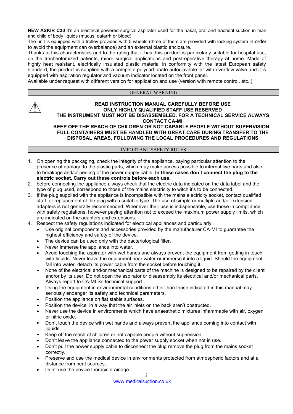**NEW ASKIR C30** it's an electrical powered surgical aspirator used for the nasal, oral and tracheal suction in man and child of body liquids (mucus, catarrh or blood).

The unit is equipped with a trolley provided with 5 wheels (three of them are provided with locking system in order to avoid the equipment can overbalance) and an external plastic enclosure.

Thanks to this characteristics and to the rating that it has, this product is particularly suitable for hospital use, on the tracheotomized patients, minor surgical applications and post-operative therapy at home. Made of highly heat resistant, electrically insulated plastic material in conformity with the latest European safety standard, the product is supplied with a complete polycarbonate autoclavable jar with overflow valve and it is equipped with aspiration regulator and vacuum indicator located on the front panel.

Available under request with different version for application and use (version with remote control, etc..)

#### GENERAL WARNING

### **READ INSTRUCTION MANUAL CAREFULLY BEFORE USE ONLY HIGHLY QUALIFIED STAFF USE RESERVED THE INSTRUMENT MUST NOT BE DISASSEMBLED. FOR A TECHNICAL SERVICE ALWAYS CONTACT CA-MI**

**KEEP OFF THE REACH OF CHILDREN OR NOT CAPABLE PEOPLE WITHOUT SUPERVISION FULL CONTAINERS MUST BE HANDLED WITH GREAT CARE DURING TRANSFER TO THE DISPOSAL AREAS, FOLLOWING THE LOCAL PROCEDURES AND REGULATIONS**

# IMPORTANT SAFETY RULES

- 1. On opening the packaging, check the integrity of the appliance, paying particular attention to the presence of damage to the plastic parts, which may make access possible to internal live parts and also to breakage and/or peeling of the power supply cable. **In these cases don't connect the plug to the electric socket. Carry out these controls before each use.**
- 2. before connecting the appliance always check that the electric data indicated on the data labeland the type of plug used, correspond to those of the mains electricity to witch it's to be connected.
- 3. If the plug supplied with the appliance is incompatible with the mains electricity socket, contact qualified staff for replacement of the plug with a suitable type. The use of simple or multiple and/or extension adapters is not generally recommended. Whenever their use is indispensable, use those in compliance with safety regulations, however paying attention not to exceed the maximum power supply limits, which are indicated on the adapters and extensions.
- 4. Respect the safety regulations indicated for electrical appliances and particularly:
	- Use original components and accessories provided by the manufacturer CA-MI to guarantee the highest efficiency and safety of the device.
	- The device can be used only with the bacteriological filter.
	- Never immerse the appliance into water.
	- Avoid touching the aspirator with wet hands and always prevent the equipment from getting in touch with liquids. Never leave the equipment near water or immerse it into a liquid. Should the equipment fall into water, detach its power cable from the socket before touching it.
	- None of the electrical and/or mechanical parts of the machine is designed to be repaired by the client and/or by its user. Do not open the aspirator or disassembly its electrical and/or mechanical parts. Always report to CA-MI Srl technical support.
	- Using the equipment in environmental conditions other than those indicated in this manual may seriously endanger its safety and technical parameters.
	- Position the appliance on flat stable surfaces.
	- Position the device in a way that the air inlets on the back aren't obstructed.
	- Never use the device in environments which have anaesthetic mixtures inflammable with air, oxygen or nitric oxide.
	- Don't touch the device with wet hands and always prevent the appliance coming into contact with liquids.
	- Keep off the reach of children or not capable people without supervision.
	- Don't leave the appliance connected to the power supply socket when not in use.
	- Don't pull the power supply cable to disconnect the plug remove the plug from the mains socket correctly.
	- Preserve and use the medical device in environments protected from atmospheric factors and at a distance from heat sources.
	- Don't use the device thoracic drainage.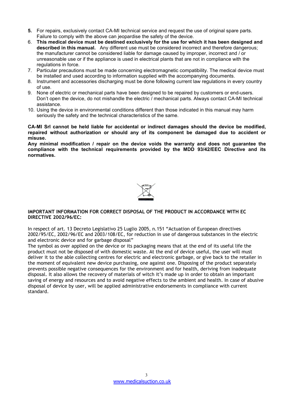- **5.** For repairs, exclusively contact CA-MI technical service and request the use of original spare parts. Failure to comply with the above can jeopardise the safety of the device.
- 6. **This medical device must be destined exclusively for the use for which it has been designed and described in this manual.** Any different use must be considered incorrect and therefore dangerous; the manufacturer cannot be considered liable for damage caused by improper, incorrect and / or unreasonable use or if the appliance is used in electrical plants that are not in compliance with the regulations in force.
- 7. Particular precautions must be made concerning electromagnetic compatibility. The medical device must be installed and used according to information supplied with the accompanying documents.
- 8. Instrument and accessories discharging must be done following current law regulations in every country of use.
- 9. None of electric or mechanical parts have been designed to be repaired by customers or end-users. Don't open the device, do not mishandle the electric / mechanical parts. Always contact CA-MI technical assistance.
- 10. Using the device in environmental conditions different than those indicated in this manual may harm seriously the safety and the technical characteristics of the same.

**CA-MI Srl cannot be held liable for accidental or indirect damages should the device be modified, repaired without authorization or should any of its component be damaged due to accident or misuse.**

**Any minimal modification / repair on the device voids the warranty and does not guarantee the compliance with the technical requirements provided by the MDD 93/42/EEC Directive and its normatives.**



# **IMPORTANT INFORMATION FOR CORRECT DISPOSAL OF THE PRODUCT IN ACCORDANCE WITH EC DIRECTIVE 2002/96/EC:**

In respect of art. 13 Decreto Legislativo 25 Luglio 2005, n.151 "Actuation of European directives 2002/95/EC, 2002/96/EC and 2003/108/EC, for reduction in use of dangerous substances in the electric and electronic device and for garbage disposal"

The symbol as over applied on the device or its packaging means that at the end of its useful life the product must not be disposed of with domestic waste. At the end of device useful, the user will must deliver it to the able collecting centres for electric and electronic garbage, or give back to the retailer in the moment of equivalent new device purchasing, one against one. Disposing of the product separately prevents possible negative consequences for the environment and for health, deriving from inadequate disposal. It also allows the recovery of materials of witch it's made up in order to obtain an important saving of energy and resources and to avoid negative effects to the ambient and health. In case of abusive disposal of device by user, will be applied administrative endorsements in compliance with current standard.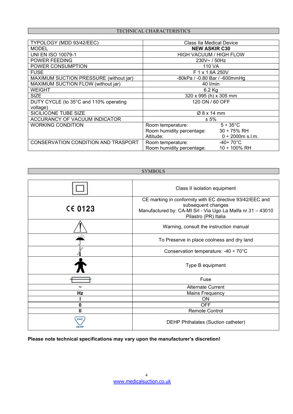# TECHNICAL CHARACTERISTICS

| TYPOLOGY (MDD 93/42/EEC)               | <b>Class IIa Medical Device</b> |                        |
|----------------------------------------|---------------------------------|------------------------|
| <b>MODEL</b>                           | <b>NEW ASKIR C30</b>            |                        |
| <b>UNI EN ISO 10079-1</b>              | <b>HIGH VACUUM / HIGH FLOW</b>  |                        |
| <b>POWER FEEDING</b>                   | 230V~/50Hz                      |                        |
| POWER CONSUMPTION                      | 110 VA                          |                        |
| <b>FUSE</b>                            | F 1 x 1.6A 250V                 |                        |
| MAXIMUM SUCTION PRESSURE (without jar) | -80kPa / -0.80 Bar / -600mmHg   |                        |
| MAXIMUM SUCTION FLOW (without jar)     | 40 l/min                        |                        |
| <b>WEIGHT</b>                          | $6.2$ Kg                        |                        |
| <b>SIZE</b>                            | 320 x 995 (h) x 305 mm          |                        |
| DUTY CYCLE (to 35°C and 110% operating | 120 ON / 60 OFF                 |                        |
| voltage)                               |                                 |                        |
| SICILICONE TUBE SIZE                   | Ø 8 x 14 mm                     |                        |
| ACCURANCY OF VACUUM INDICATOR          | $± 5\%$                         |                        |
| <b>WORKING CONDITION</b>               | Room temperature:               | $5 \div 35^{\circ}$ C  |
|                                        | Room humidity percentage:       | $30 \div 75\%$ RH      |
|                                        | Altitude:                       | $0 \div 2000$ m s.l.m. |
| CONSERVATION CONDITION AND TRASPORT    | Room temperature:               | -40÷ 70°C              |
|                                        | Room humidity percentage:       | 10 ÷ 100% RH           |



**Please note technical specifications may vary upon the manufacturer's discretion!**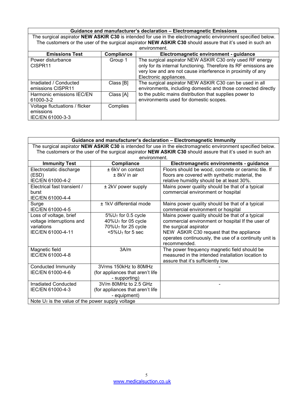|                                                                 |            | Guidance and manufacturer's declaration - Electromagnetic Emissions                                                                                                                                                    |
|-----------------------------------------------------------------|------------|------------------------------------------------------------------------------------------------------------------------------------------------------------------------------------------------------------------------|
|                                                                 |            | The surgical aspirator NEW ASKIR C30 is intended for use in the electromagnetic environment specified below.                                                                                                           |
|                                                                 |            | The customers or the user of the surgical aspirator NEW ASKIR C30 should assure that it's used in such an                                                                                                              |
|                                                                 |            | environment.                                                                                                                                                                                                           |
| <b>Emissions Test</b>                                           | Compliance | Electromagnetic environment - guidance                                                                                                                                                                                 |
| Power disturbance<br>CISPR <sub>11</sub>                        | Group 1    | The surgical aspirator NEW ASKIR C30 only used RF energy<br>only for its internal functioning. Therefore its RF emissions are<br>very low and are not cause interference in proximity of any<br>Electronic appliances. |
| Irradiated / Conducted<br>emissions CISPR11                     | Class [B]  | The surgical aspirator NEW ASKIR C30 can be used in all<br>environments, including domestic and those connected directly                                                                                               |
| Harmonic emissions IEC/EN<br>61000-3-2                          | Class [A]  | to the public mains distribution that supplies power to<br>environments used for domestic scopes.                                                                                                                      |
| Voltage fluctuations / flicker<br>emissions<br>IEC/EN 61000-3-3 | Complies   |                                                                                                                                                                                                                        |

|                                                     |                                    | Guidance and manufacturer's declaration - Electromagnetic Immunity                                           |
|-----------------------------------------------------|------------------------------------|--------------------------------------------------------------------------------------------------------------|
|                                                     |                                    | The surgical aspirator NEW ASKIR C30 is intended for use in the electromagnetic environment specified below. |
|                                                     |                                    | The customers or the user of the surgical aspirator NEW ASKIR C30 should assure that it's used in such an    |
|                                                     | environment.                       |                                                                                                              |
| <b>Immunity Test</b>                                | Compliance                         | Electromagnetic environments - guidance                                                                      |
| Electrostatic discharge                             | ± 6kV on contact                   | Floors should be wood, concrete or ceramic tile. If                                                          |
| (ESD)                                               | $± 8kV$ in air                     | floors are covered with synthetic material, the                                                              |
| IEC/EN 61000-4-2                                    |                                    | relative humidity should be at least 30%.                                                                    |
| Electrical fast transient /                         | ± 2kV power supply                 | Mains power quality should be that of a typical                                                              |
| burst                                               |                                    | commercial environment or hospital                                                                           |
| IEC/EN 61000-4-4                                    |                                    |                                                                                                              |
| Surge                                               | ± 1kV differential mode            | Mains power quality should be that of a typical                                                              |
| IEC/EN 61000-4-5                                    |                                    | commercial environment or hospital                                                                           |
| Loss of voltage, brief                              | $5\%$ U <sub>T</sub> for 0.5 cycle | Mains power quality should be that of a typical                                                              |
| voltage interruptions and                           | $40\%$ U <sub>T</sub> for 05 cycle | commercial environment or hospital If the user of                                                            |
| variations                                          | 70%U⊤ for 25 cycle                 | the surgical aspirator                                                                                       |
| IEC/EN 61000-4-11                                   | $<$ 5% $U$ <sup>T</sup> for 5 sec  | NEW ASKIR C30 request that the appliance                                                                     |
|                                                     |                                    | operates continuously, the use of a continuity unit is                                                       |
|                                                     |                                    | recommended.                                                                                                 |
| Magnetic field                                      | 3A/m                               | The power frequency magnetic field should be                                                                 |
| IEC/EN 61000-4-8                                    |                                    | measured in the intended installation location to                                                            |
|                                                     |                                    | assure that it's sufficiently low.                                                                           |
| Conducted Immunity                                  | 3Vrms 150kHz to 80MHz              |                                                                                                              |
| IEC/EN 61000-4-6                                    | (for appliances that aren't life   |                                                                                                              |
|                                                     | - supporting)                      |                                                                                                              |
| Irradiated Conducted                                | 3V/m 80MHz to 2.5 GHz              |                                                                                                              |
| IEC/EN 61000-4-3                                    | (for appliances that aren't life   |                                                                                                              |
|                                                     | - equipment)                       |                                                                                                              |
| Note $U_T$ is the value of the power supply voltage |                                    |                                                                                                              |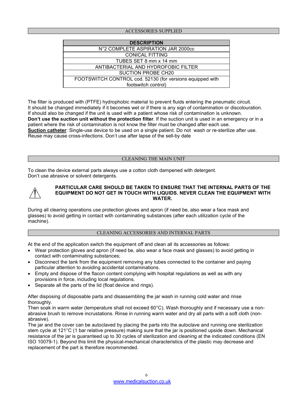# ACCESSORIES SUPPLIED

| <b>DESCRIPTION</b>                                        |  |
|-----------------------------------------------------------|--|
| N°2 COMPLETE ASPIRATION JAR 2000cc                        |  |
| <b>CONICAL FITTING</b>                                    |  |
| TUBES SET 8 mm x 14 mm                                    |  |
| ANTIBACTERIAL AND HYDROFOBIC FILTER                       |  |
| SUCTION PROBE CH20                                        |  |
| FOOTSWITCH CONTROL cod. 52130 (for versions equipped with |  |
| footswitch control)                                       |  |

The filter is produced with (PTFE) hydrophobic material to prevent fluids entering the pneumatic circuit. It should be changed immediately if it becomes wet or if there is any sign of contamination or discolouration. If should also be changed if the unit is used with a patient whose risk of contamination is unknown. **Don't use the suction unit without the protection filter**. If the suction unit is used in an emergency or in a patient where the risk of contamination is not know the filter must be changed after each use. **Suction catheter**: Single-use device to be used on a single patient. Do not wash or re-sterilize after use. Reuse may cause cross-infections. Don't use after lapse of the sell-by date

#### CLEANING THE MAIN UNIT

To clean the device external parts always use a cotton cloth dampened with detergent. Don't use abrasive or solvent detergents.



#### **PARTICULAR CARE SHOULD BE TAKEN TO ENSURE THAT THE INTERNAL PARTS OF THE EQUIPMENT DO NOT GET IN TOUCH WITH LIQUIDS. NEVER CLEAN THE EQUIPMENT WITH WATER.**

During all clearing operations use protection gloves and apron (if need be, also wear a face mask and glasses) to avoid getting in contact with contaminating substances (after each utilization cycle of the machine).

#### CLEANING ACCESSORIES AND INTERNAL PARTS

At the end of the application switch the equipment off and clean all its accessories as follows:

- Wear protection gloves and apron (if need be, also wear a face mask and glasses) to avoid getting in contact with contaminating substances;
- Disconnect the tank from the equipment removing any tubes connected to the container and paying particular attention to avoiding accidental contaminations.
- Empty and dispose of the flacon content complying with hospital regulations as well as with any provisions in force, including local regulations.
- Separate all the parts of the lid (float device and rings).

After disposing of disposable parts and disassembling the jar wash in running cold water and rinse thoroughly.

Then soak in warm water (temperature shall not exceed 60°C). Wash thoroughly and if necessary use a nonabrasive brush to remove incrustations. Rinse in running warm water and dry all parts with a soft cloth (nonabrasive).

The jar and the cover can be autoclaved by placing the parts into the autoclave and running one sterilization stem cycle at 121°C (1 bar relative pressure) making sure that the jar is positioned upside down. Mechanical resistance of the jar is guaranteed up to 30 cycles of sterilization and cleaning at the indicated conditions (EN ISO 10079-1). Beyond this limit the physical-mechanical characteristics of the plastic may decrease and replacement of the part is therefore recommended.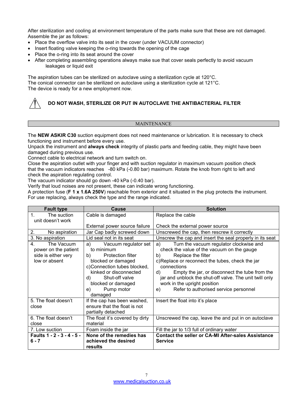After sterilization and cooling at environment temperature of the parts make sure that these are not damaged. Assemble the jar as follows:

- Place the overflow valve into its seat in the cover (under VACUUM connector)
- Insert floating valve keeping the o-ring towards the opening of the cage
- Place the o-ring into its seat around the cover
- After completing assembling operations always make sue that cover seals perfectly to avoid vacuum leakages or liquid exit

The aspiration tubes can be sterilized on autoclave using a sterilization cycle at 120°C. The conical connector can be sterilized on autoclave using a sterilization cycle at 121°C. The device is ready for a new employment now.



# **DO NOT WASH, STERILIZE OR PUT IN AUTOCLAVE THE ANTIBACTERIAL FILTER**

# **MAINTENANCE**

The **NEW ASKIR C30** suction equipment does not need maintenance or lubrication. It is necessary to check functioning and instrument before every use.

Unpack the instrument and **always check** integrity of plastic parts and feeding cable, they might have been damaged during previous use.

Connect cable to electrical network and turn switch on.

Close the aspiration outlet with your finger and with suction regulator in maximum vacuum position check that the vacuum indicators reaches -80 kPa (-0.80 bar) maximum. Rotate the knob from right to left and check the aspiration regulating control.

The vacuum indicator should go down -40 kPa (-0.40 bar).

Verify that loud noises are not present, these can indicate wrong functioning.

A protection fuse (**F 1 x 1.6A 250V**) reachable from exterior and it situated in the plug protects the instrument. For use replacing, always check the type and the range indicated.

| <b>Fault type</b>                                                                | Cause                                                                                                                                                                                                                           | <b>Solution</b>                                                                                                                                                                                                                                                                                                                                                                             |
|----------------------------------------------------------------------------------|---------------------------------------------------------------------------------------------------------------------------------------------------------------------------------------------------------------------------------|---------------------------------------------------------------------------------------------------------------------------------------------------------------------------------------------------------------------------------------------------------------------------------------------------------------------------------------------------------------------------------------------|
| $1_{-}$<br>The suction                                                           | Cable is damaged                                                                                                                                                                                                                | Replace the cable                                                                                                                                                                                                                                                                                                                                                                           |
| unit doesn't work                                                                |                                                                                                                                                                                                                                 |                                                                                                                                                                                                                                                                                                                                                                                             |
|                                                                                  | External power source failure                                                                                                                                                                                                   | Check the external power source                                                                                                                                                                                                                                                                                                                                                             |
| 2.<br>No aspiration                                                              | Jar Cap badly screwed down                                                                                                                                                                                                      | Unscrewed the cap, then rescrew it correctly                                                                                                                                                                                                                                                                                                                                                |
| 3. No aspiration                                                                 | Lid seal not in its seat                                                                                                                                                                                                        | Unscrew the cap and insert the seal properly in its seat                                                                                                                                                                                                                                                                                                                                    |
| The Vacuum<br>4.<br>power on the patient<br>side is either very<br>low or absent | Vacuum regulator set<br>a)<br>to minimum<br>Protection filter<br>b)<br>blocked or damaged<br>c)Connection tubes blocked,<br>kinked or disconnected<br>Shut-off valve<br>d)<br>blocked or damaged<br>Pump motor<br>e)<br>damaged | Turn the vacuum regulator clockwise and<br>a)<br>check the value of the vacuum on the gauge<br>Replace the filter<br>b)<br>c)Replace or reconnect the tubes, check the jar<br>connections<br>Empty the jar, or disconnect the tube from the<br>d)<br>jar and unblock the shut-off valve. The unit twill only<br>work in the upright position<br>Refer to authorised service personnel<br>e) |
| 5. The float doesn't<br>close                                                    | If the cap has been washed,<br>ensure that the float is not<br>partially detached                                                                                                                                               | Insert the float into it's place                                                                                                                                                                                                                                                                                                                                                            |
| 6. The float doesn't<br>close                                                    | The float it's covered by dirty<br>material                                                                                                                                                                                     | Unscrewed the cap, leave the and put in on autoclave                                                                                                                                                                                                                                                                                                                                        |
| 7. Low suction                                                                   | Foam inside the jar                                                                                                                                                                                                             | Fill the jar to 1/3 full of ordinary water                                                                                                                                                                                                                                                                                                                                                  |
| Faults 1 - 2 - 3 - 4 - 5 -                                                       | None of the remedies has                                                                                                                                                                                                        | <b>Contact the seller or CA-MI After-sales Assistance</b>                                                                                                                                                                                                                                                                                                                                   |
| $6 - 7$                                                                          | achieved the desired<br>results                                                                                                                                                                                                 | <b>Service</b>                                                                                                                                                                                                                                                                                                                                                                              |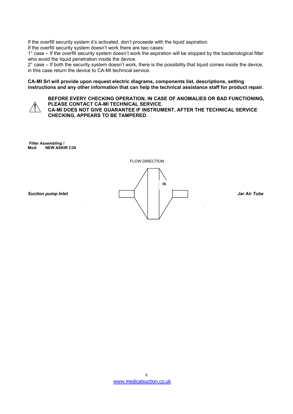If the overfill security system it's activated, don't proceede with the liquid aspiration.

If the overfill security system doesn't work there are two cases:

1° case – If the overfill security system doesn't work the aspiration will be stopped by the bacteriological filter who avoid the liquid penetration inside the device.

 $2^{\circ}$  case – If both the security system doesn't work, there is the possibility that liquid comes inside the device, in this case return the device to CA-MI technical service.

#### **CA-MI Srl will provide upon request electric diagrams, components list, descriptions, setting instructions and any other information that can help the technical assistance staff for product repair.**



# **BEFORE EVERY CHECKING OPERATION, IN CASE OF ANOMALIES OR BAD FUNCTIONING, PLEASE CONTACT CA-MI TECHNICAL SERVICE.**

**CA-MI DOES NOT GIVE GUARANTEE IF INSTRUMENT, AFTER THE TECHNICAL SERVICE CHECKING, APPEARS TO BE TAMPERED.**

*Filter Assembling /* **Mod: NEW ASKIR C30**

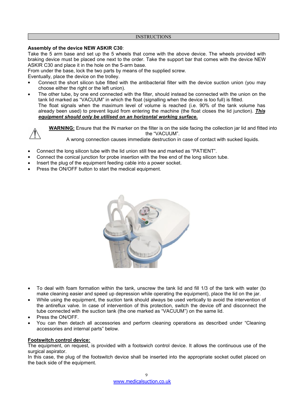#### **INSTRUCTIONS**

# **Assembly of the device NEW ASKIR C30**:

Take the 5 arm base and set up the 5 wheels that come with the above device. The wheels provided with braking device must be placed one next to the order. Take the support bar that comes with the device NEW ASKIR C30 and place it in the hole on the 5-arm base.

From under the base, lock the two parts by means of the supplied screw.

Eventually, place the device on the trolley.

- Connect the short silicon tube fitted with the antibacterial filter with the device suction union (you may choose either the right or the left union).
- The other tube, by one end connected with the filter, should instead be connected with the union on the tank lid marked as "VACUUM" in which the float (signalling when the device is too full) is fitted. The float signals when the maximum level of volume is reached (i.e. 90% of the tank volume has already been used) to prevent liquid from entering the machine (the float closes the lid junction). *This equipment should only be utilised on an horizontal working surface.*

**WARNING:** Ensure that the IN marker on the filter is on the side facing the collection jar lid and fitted into the "VACUUM".

A wrong connection causes immediate destruction in case of contact with sucked liquids.

- Connect the long silicon tube with the lid union still free and marked as "PATIENT".
- Connect the conical junction for probe insertion with the free end of the long silicon tube.
- Insert the plug of the equipment feeding cable into a power socket.
- Press the ON/OFF button to start the medical equipment.



- To deal with foam formation within the tank, unscrew the tank lid and fill 1/3 of the tank with water (to make cleaning easier and speed up depression while operating the equipment), place the lid on the jar.
- While using the equipment, the suction tank should always be used vertically to avoid the intervention of the antireflux valve. In case of intervention of this protection, switch the device off and disconnect the tube connected with the suction tank (the one marked as "VACUUM") on the same lid.
- Press the ON/OFF.
- You can then detach all accessories and perform cleaning operations as described under "Cleaning accessories and internal parts" below.

# **Footswitch control device:**

The equipment, on request, is provided with a footswich control device. It allows the continuous use of the surgical aspirator.

In this case, the plug of the footswitch device shall be inserted into the appropriate socket outlet placed on the back side of the equipment.